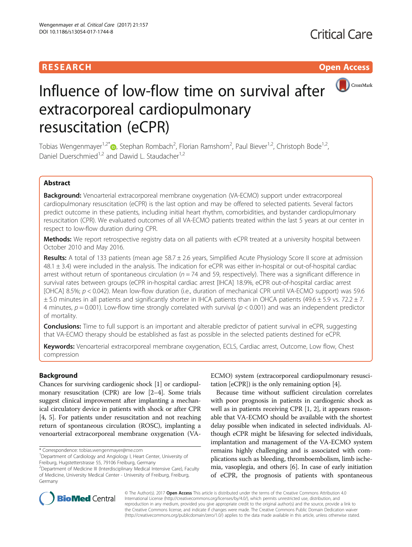# **RESEARCH CHE Open Access**



# Influence of low-flow time on survival after extracorporeal cardiopulmonary resuscitation (eCPR)

Tobias Wengenmayer<sup>1,2[\\*](http://orcid.org/0000-0002-3659-0407)</sup>®, Stephan Rombach<sup>2</sup>, Florian Ramshorn<sup>2</sup>, Paul Biever<sup>1,2</sup>, Christoph Bode<sup>1,2</sup>, Daniel Duerschmied<sup>1,2</sup> and Dawid L. Staudacher<sup>1,2</sup>

# Abstract

Background: Venoarterial extracorporeal membrane oxygenation (VA-ECMO) support under extracorporeal cardiopulmonary resuscitation (eCPR) is the last option and may be offered to selected patients. Several factors predict outcome in these patients, including initial heart rhythm, comorbidities, and bystander cardiopulmonary resuscitation (CPR). We evaluated outcomes of all VA-ECMO patients treated within the last 5 years at our center in respect to low-flow duration during CPR.

Methods: We report retrospective registry data on all patients with eCPR treated at a university hospital between October 2010 and May 2016.

Results: A total of 133 patients (mean age  $58.7 \pm 2.6$  years, Simplified Acute Physiology Score II score at admission  $48.1 \pm 3.4$ ) were included in the analysis. The indication for eCPR was either in-hospital or out-of-hospital cardiac arrest without return of spontaneous circulation ( $n = 74$  and 59, respectively). There was a significant difference in survival rates between groups (eCPR in-hospital cardiac arrest [IHCA] 18.9%, eCPR out-of-hospital cardiac arrest [OHCA] 8.5%; p < 0.042). Mean low-flow duration (i.e., duration of mechanical CPR until VA-ECMO support) was 59.6  $\pm$  5.0 minutes in all patients and significantly shorter in IHCA patients than in OHCA patients (49.6  $\pm$  5.9 vs. 72.2  $\pm$  7. 4 minutes,  $p = 0.001$ ). Low-flow time strongly correlated with survival ( $p < 0.001$ ) and was an independent predictor of mortality.

**Conclusions:** Time to full support is an important and alterable predictor of patient survival in eCPR, suggesting that VA-ECMO therapy should be established as fast as possible in the selected patients destined for eCPR.

Keywords: Venoarterial extracorporeal membrane oxygenation, ECLS, Cardiac arrest, Outcome, Low flow, Chest compression

# Background

Chances for surviving cardiogenic shock [\[1](#page-5-0)] or cardiopulmonary resuscitation (CPR) are low [[2](#page-5-0)–[4](#page-5-0)]. Some trials suggest clinical improvement after implanting a mechanical circulatory device in patients with shock or after CPR [[4, 5\]](#page-5-0). For patients under resuscitation and not reaching return of spontaneous circulation (ROSC), implanting a venoarterial extracorporeal membrane oxygenation (VA-

\* Correspondence: [tobias.wengenmayer@me.com](mailto:tobias.wengenmayer@me.com) <sup>1</sup>

ECMO) system (extracorporeal cardiopulmonary resuscitation [eCPR]) is the only remaining option [[4](#page-5-0)].

Because time without sufficient circulation correlates with poor prognosis in patients in cardiogenic shock as well as in patients receiving CPR [[1](#page-5-0), [2](#page-5-0)], it appears reasonable that VA-ECMO should be available with the shortest delay possible when indicated in selected individuals. Although eCPR might be lifesaving for selected individuals, implantation and management of the VA-ECMO system remains highly challenging and is associated with complications such as bleeding, thromboembolism, limb ischemia, vasoplegia, and others [\[6](#page-5-0)]. In case of early initiation of eCPR, the prognosis of patients with spontaneous



© The Author(s). 2017 **Open Access** This article is distributed under the terms of the Creative Commons Attribution 4.0 International License [\(http://creativecommons.org/licenses/by/4.0/](http://creativecommons.org/licenses/by/4.0/)), which permits unrestricted use, distribution, and reproduction in any medium, provided you give appropriate credit to the original author(s) and the source, provide a link to the Creative Commons license, and indicate if changes were made. The Creative Commons Public Domain Dedication waiver [\(http://creativecommons.org/publicdomain/zero/1.0/](http://creativecommons.org/publicdomain/zero/1.0/)) applies to the data made available in this article, unless otherwise stated.

<sup>&</sup>lt;sup>1</sup>Department of Cardiology and Angiology I, Heart Center, University of Freiburg, Hugstetterstrasse 55, 79106 Freiburg, Germany

<sup>&</sup>lt;sup>2</sup>Department of Medicine III (Interdisciplinary Medical Intensive Care), Faculty of Medicine, University Medical Center - University of Freiburg, Freiburg, Germany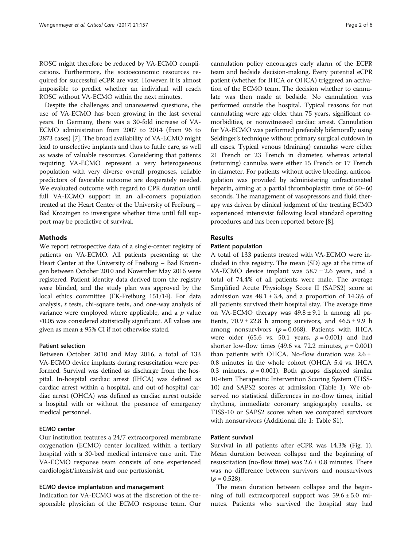ROSC might therefore be reduced by VA-ECMO complications. Furthermore, the socioeconomic resources required for successful eCPR are vast. However, it is almost impossible to predict whether an individual will reach ROSC without VA-ECMO within the next minutes.

Despite the challenges and unanswered questions, the use of VA-ECMO has been growing in the last several years. In Germany, there was a 30-fold increase of VA-ECMO administration from 2007 to 2014 (from 96 to 2873 cases) [[7\]](#page-5-0). The broad availability of VA-ECMO might lead to unselective implants and thus to futile care, as well as waste of valuable resources. Considering that patients requiring VA-ECMO represent a very heterogeneous population with very diverse overall prognoses, reliable predictors of favorable outcome are desperately needed. We evaluated outcome with regard to CPR duration until full VA-ECMO support in an all-comers population treated at the Heart Center of the University of Freiburg – Bad Krozingen to investigate whether time until full support may be predictive of survival.

### **Methods**

We report retrospective data of a single-center registry of patients on VA-ECMO. All patients presenting at the Heart Center at the University of Freiburg – Bad Krozingen between October 2010 and November May 2016 were registered. Patient identity data derived from the registry were blinded, and the study plan was approved by the local ethics committee (EK-Freiburg 151/14). For data analysis, t tests, chi-square tests, and one-way analysis of variance were employed where applicable, and a  $p$  value ≤0.05 was considered statistically significant. All values are given as mean ± 95% CI if not otherwise stated.

#### Patient selection

Between October 2010 and May 2016, a total of 133 VA-ECMO device implants during resuscitation were performed. Survival was defined as discharge from the hospital. In-hospital cardiac arrest (IHCA) was defined as cardiac arrest within a hospital, and out-of-hospital cardiac arrest (OHCA) was defined as cardiac arrest outside a hospital with or without the presence of emergency medical personnel.

### ECMO center

Our institution features a 24/7 extracorporeal membrane oxygenation (ECMO) center localized within a tertiary hospital with a 30-bed medical intensive care unit. The VA-ECMO response team consists of one experienced cardiologist/intensivist and one perfusionist.

#### ECMO device implantation and management

Indication for VA-ECMO was at the discretion of the responsible physician of the ECMO response team. Our

cannulation policy encourages early alarm of the ECPR team and bedside decision-making. Every potential eCPR patient (whether for IHCA or OHCA) triggered an activation of the ECMO team. The decision whether to cannulate was then made at bedside. No cannulation was performed outside the hospital. Typical reasons for not cannulating were age older than 75 years, significant comorbidities, or nonwitnessed cardiac arrest. Cannulation for VA-ECMO was performed preferably bifemorally using Seldinger's technique without primary surgical cutdown in all cases. Typical venous (draining) cannulas were either 21 French or 23 French in diameter, whereas arterial (returning) cannulas were either 15 French or 17 French in diameter. For patients without active bleeding, anticoagulation was provided by administering unfractionated heparin, aiming at a partial thromboplastin time of 50–60 seconds. The management of vasopressors and fluid therapy was driven by clinical judgment of the treating ECMO experienced intensivist following local standard operating procedures and has been reported before [[8\]](#page-5-0).

# **Results**

#### Patient population

A total of 133 patients treated with VA-ECMO were included in this registry. The mean (SD) age at the time of VA-ECMO device implant was  $58.7 \pm 2.6$  years, and a total of 74.4% of all patients were male. The average Simplified Acute Physiology Score II (SAPS2) score at admission was  $48.1 \pm 3.4$ , and a proportion of 14.3% of all patients survived their hospital stay. The average time on VA-ECMO therapy was  $49.8 \pm 9.1$  h among all patients,  $70.9 \pm 22.8$  h among survivors, and  $46.5 \pm 9.9$  h among nonsurvivors ( $p = 0.068$ ). Patients with IHCA were older (65.6 vs. 50.1 years,  $p = 0.001$ ) and had shorter low-flow times (49.6 vs. 72.2 minutes,  $p = 0.001$ ) than patients with OHCA. No-flow duration was  $2.6 \pm$ 0.8 minutes in the whole cohort (OHCA 5.4 vs. IHCA 0.3 minutes,  $p = 0.001$ ). Both groups displayed similar 10-item Therapeutic Intervention Scoring System (TISS-10) and SAPS2 scores at admission (Table [1](#page-2-0)). We observed no statistical differences in no-flow times, initial rhythms, immediate coronary angiography results, or TISS-10 or SAPS2 scores when we compared survivors with nonsurvivors (Additional file [1](#page-4-0): Table S1).

#### Patient survival

Survival in all patients after eCPR was 14.3% (Fig. [1](#page-2-0)). Mean duration between collapse and the beginning of resuscitation (no-flow time) was  $2.6 \pm 0.8$  minutes. There was no difference between survivors and nonsurvivors  $(p = 0.528)$ .

The mean duration between collapse and the beginning of full extracorporeal support was  $59.6 \pm 5.0$  minutes. Patients who survived the hospital stay had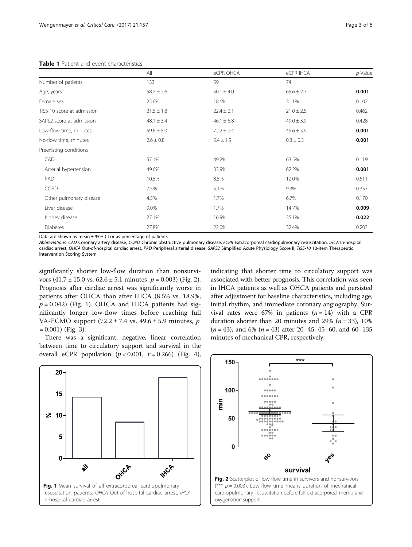#### <span id="page-2-0"></span>Table 1 Patient and event characteristics

|                            | All            | eCPR OHCA      | eCPR IHCA      | $p$ Value |
|----------------------------|----------------|----------------|----------------|-----------|
| Number of patients         | 133            | 59             | 74             |           |
| Age, years                 | $58.7 \pm 2.6$ | $50.1 \pm 4.0$ | $65.6 \pm 2.7$ | 0.001     |
| Female sex                 | 25.6%          | 18.6%          | 31.1%          | 0.102     |
| TISS-10 score at admission | $21.5 \pm 1.8$ | $22.4 \pm 2.1$ | $21.0 \pm 2.5$ | 0.462     |
| SAPS2 score at admission   | $48.1 \pm 3.4$ | $46.1 \pm 6.8$ | $49.0 \pm 3.9$ | 0.428     |
| Low-flow time, minutes     | $59.6 \pm 5.0$ | $72.2 \pm 7.4$ | $49.6 \pm 5.9$ | 0.001     |
| No-flow time, minutes      | $2.6 \pm 0.8$  | $5.4 \pm 1.5$  | $0.3 \pm 0.3$  | 0.001     |
| Preexisting conditions     |                |                |                |           |
| CAD                        | 57.1%          | 49.2%          | 63.5%          | 0.119     |
| Arterial hypertension      | 49.6%          | 33.9%          | 62.2%          | 0.001     |
| PAD                        | 10.5%          | 8.5%           | 12.0%          | 0.511     |
| COPD                       | 7.5%           | 5.1%           | 9.3%           | 0.357     |
| Other pulmonary disease    | 4.5%           | 1.7%           | 6.7%           | 0.170     |
| Liver disease              | 9.0%           | 1.7%           | 14.7%          | 0.009     |
| Kidney disease             | 27.1%          | 16.9%          | 35.1%          | 0.022     |
| <b>Diabetes</b>            | 27.8%          | 22.0%          | 32.4%          | 0.203     |

Data are shown as mean  $\pm$  95% CI or as percentage of patients

Abbreviations: CAD Coronary artery disease, COPD Chronic obstructive pulmonary disease, eCPR Extracorporeal cardiopulmonary resuscitation, IHCA In-hospital cardiac arrest, OHCA Out-of-hospital cardiac arrest, PAD Peripheral arterial disease, SAPS2 Simplified Acute Physiology Score II, TISS-10 10-item Therapeutic Intervention Scoring System

significantly shorter low-flow duration than nonsurvivors  $(41.7 \pm 15.0 \text{ vs. } 62.6 \pm 5.1 \text{ minutes}, p = 0.003)$  (Fig. 2). Prognosis after cardiac arrest was significantly worse in patients after OHCA than after IHCA (8.5% vs. 18.9%,  $p = 0.042$ ) (Fig. 1). OHCA and IHCA patients had significantly longer low-flow times before reaching full VA-ECMO support  $(72.2 \pm 7.4 \text{ vs. } 49.6 \pm 5.9 \text{ minutes}, p$  $= 0.001$ ) (Fig. [3\)](#page-3-0).

There was a significant, negative, linear correlation between time to circulatory support and survival in the overall eCPR population  $(p < 0.001, r = 0.266)$  (Fig. [4](#page-3-0)),

indicating that shorter time to circulatory support was associated with better prognosis. This correlation was seen in IHCA patients as well as OHCA patients and persisted after adjustment for baseline characteristics, including age, initial rhythm, and immediate coronary angiography. Survival rates were 67% in patients  $(n = 14)$  with a CPR duration shorter than 20 minutes and 29% ( $n = 33$ ), 10%  $(n = 43)$ , and 6%  $(n = 43)$  after 20–45, 45–60, and 60–135 minutes of mechanical CPR, respectively.



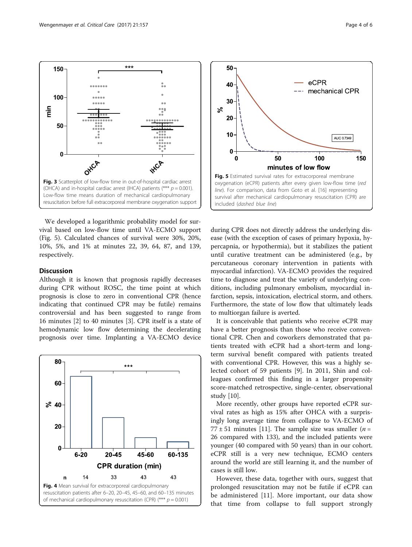

<span id="page-3-0"></span>

We developed a logarithmic probability model for survival based on low-flow time until VA-ECMO support (Fig. 5). Calculated chances of survival were 30%, 20%, 10%, 5%, and 1% at minutes 22, 39, 64, 87, and 139, respectively.

## **Discussion**

Although it is known that prognosis rapidly decreases during CPR without ROSC, the time point at which prognosis is close to zero in conventional CPR (hence indicating that continued CPR may be futile) remains controversial and has been suggested to range from 16 minutes [\[2](#page-5-0)] to 40 minutes [[3\]](#page-5-0). CPR itself is a state of hemodynamic low flow determining the decelerating prognosis over time. Implanting a VA-ECMO device





during CPR does not directly address the underlying disease (with the exception of cases of primary hypoxia, hypercapnia, or hypothermia), but it stabilizes the patient until curative treatment can be administered (e.g., by percutaneous coronary intervention in patients with myocardial infarction). VA-ECMO provides the required time to diagnose and treat the variety of underlying conditions, including pulmonary embolism, myocardial infarction, sepsis, intoxication, electrical storm, and others. Furthermore, the state of low flow that ultimately leads to multiorgan failure is averted.

It is conceivable that patients who receive eCPR may have a better prognosis than those who receive conventional CPR. Chen and coworkers demonstrated that patients treated with eCPR had a short-term and longterm survival benefit compared with patients treated with conventional CPR. However, this was a highly selected cohort of 59 patients [[9\]](#page-5-0). In 2011, Shin and colleagues confirmed this finding in a larger propensity score-matched retrospective, single-center, observational study [[10\]](#page-5-0).

More recently, other groups have reported eCPR survival rates as high as 15% after OHCA with a surprisingly long average time from collapse to VA-ECMO of 77  $\pm$  51 minutes [[11\]](#page-5-0). The sample size was smaller (*n* = 26 compared with 133), and the included patients were younger (40 compared with 50 years) than in our cohort. eCPR still is a very new technique, ECMO centers around the world are still learning it, and the number of cases is still low.

However, these data, together with ours, suggest that prolonged resuscitation may not be futile if eCPR can be administered [[11\]](#page-5-0). More important, our data show that time from collapse to full support strongly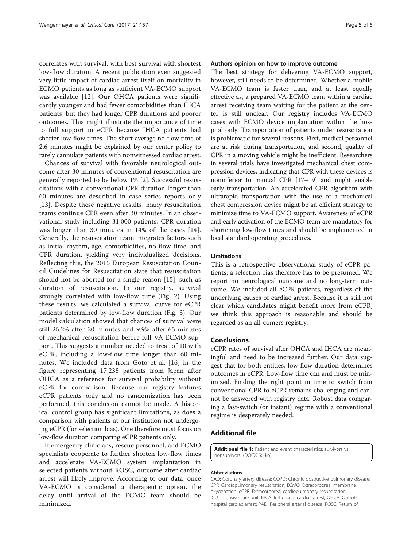<span id="page-4-0"></span>correlates with survival, with best survival with shortest low-flow duration. A recent publication even suggested very little impact of cardiac arrest itself on mortality in ECMO patients as long as sufficient VA-ECMO support was available [\[12](#page-5-0)]. Our OHCA patients were significantly younger and had fewer comorbidities than IHCA patients, but they had longer CPR durations and poorer outcomes. This might illustrate the importance of time to full support in eCPR because IHCA patients had shorter low-flow times. The short average no-flow time of 2.6 minutes might be explained by our center policy to rarely cannulate patients with nonwitnessed cardiac arrest.

Chances of survival with favorable neurological outcome after 30 minutes of conventional resuscitation are generally reported to be below 1% [[2](#page-5-0)]. Successful resuscitations with a conventional CPR duration longer than 60 minutes are described in case series reports only [[13\]](#page-5-0). Despite these negative results, many resuscitation teams continue CPR even after 30 minutes. In an observational study including 31,000 patients, CPR duration was longer than 30 minutes in 14% of the cases [\[14](#page-5-0)]. Generally, the resuscitation team integrates factors such as initial rhythm, age, comorbidities, no-flow time, and CPR duration, yielding very individualized decisions. Reflecting this, the 2015 European Resuscitation Council Guidelines for Resuscitation state that resuscitation should not be aborted for a single reason [\[15](#page-5-0)], such as duration of resuscitation. In our registry, survival strongly correlated with low-flow time (Fig. [2](#page-2-0)). Using these results, we calculated a survival curve for eCPR patients determined by low-flow duration (Fig. [3](#page-3-0)). Our model calculation showed that chances of survival were still 25.2% after 30 minutes and 9.9% after 65 minutes of mechanical resuscitation before full VA-ECMO support. This suggests a number needed to treat of 10 with eCPR, including a low-flow time longer than 60 minutes. We included data from Goto et al. [[16\]](#page-5-0) in the figure representing 17,238 patients from Japan after OHCA as a reference for survival probability without eCPR for comparison. Because our registry features eCPR patients only and no randomization has been performed, this conclusion cannot be made. A historical control group has significant limitations, as does a comparison with patients at our institution not undergoing eCPR (for selection bias). One therefore must focus on low-flow duration comparing eCPR patients only.

If emergency clinicians, rescue personnel, and ECMO specialists cooperate to further shorten low-flow times and accelerate VA-ECMO system implantation in selected patients without ROSC, outcome after cardiac arrest will likely improve. According to our data, once VA-ECMO is considered a therapeutic option, the delay until arrival of the ECMO team should be minimized.

#### Authors opinion on how to improve outcome

The best strategy for delivering VA-ECMO support, however, still needs to be determined. Whether a mobile VA-ECMO team is faster than, and at least equally effective as, a prepared VA-ECMO team within a cardiac arrest receiving team waiting for the patient at the center is still unclear. Our registry includes VA-ECMO cases with ECMO device implantation within the hospital only. Transportation of patients under resuscitation is problematic for several reasons. First, medical personnel are at risk during transportation, and second, quality of CPR in a moving vehicle might be inefficient. Researchers in several trials have investigated mechanical chest compression devices, indicating that CPR with these devices is noninferior to manual CPR [\[17](#page-5-0)–[19](#page-5-0)] and might enable early transportation. An accelerated CPR algorithm with ultrarapid transportation with the use of a mechanical chest compression device might be an efficient strategy to minimize time to VA-ECMO support. Awareness of eCPR and early activation of the ECMO team are mandatory for shortening low-flow times and should be implemented in local standard operating procedures.

#### Limitations

This is a retrospective observational study of eCPR patients; a selection bias therefore has to be presumed. We report no neurological outcome and no long-term outcome. We included all eCPR patients, regardless of the underlying causes of cardiac arrest. Because it is still not clear which candidates might benefit more from eCPR, we think this approach is reasonable and should be regarded as an all-comers registry.

#### Conclusions

eCPR rates of survival after OHCA and IHCA are meaningful and need to be increased further. Our data suggest that for both entities, low-flow duration determines outcomes in eCPR. Low-flow time can and must be minimized. Finding the right point in time to switch from conventional CPR to eCPR remains challenging and cannot be answered with registry data. Robust data comparing a fast-switch (or instant) regime with a conventional regime is desperately needed.

#### Additional file

[Additional file 1:](dx.doi.org/10.1186/s13054-017-1744-8) Patient and event characteristics: survivors vs. nonsurvivors. (DOCX 56 kb)

#### Abbreviations

CAD: Coronary artery disease; COPD: Chronic obstructive pulmonary disease; CPR: Cardiopulmonary resuscitation; ECMO: Extracorporeal membrane oxygenation; eCPR: Extracorporeal cardiopulmonary resuscitation; ICU: Intensive care unit; IHCA: In-hospital cardiac arrest; OHCA: Out-ofhospital cardiac arrest; PAD: Peripheral arterial disease; ROSC: Return of